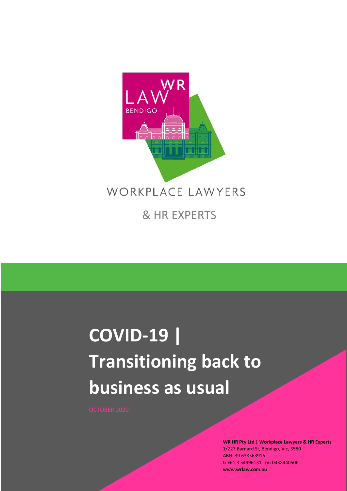

& HR EXPERTS

# **COVID-19 | Transitioning back to business as usual**

**WR HR Pty Ltd | Workplace Lawyers & HR Experts** 1/227 Barnard St, Bendigo, Vic, 3550 ABN: 39 638563916 **t:** +61 3 54996131 **m:** 0438440506 **[www.wrlaw.com.au](http://www.wrlaw.com.au/)**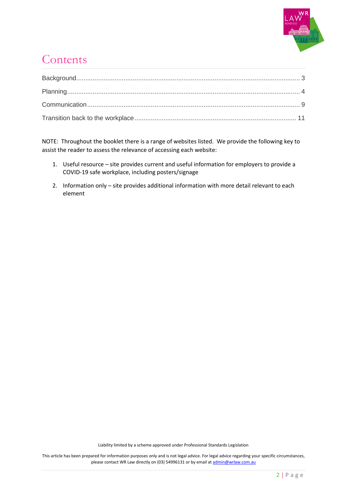

# Contents

NOTE: Throughout the booklet there is a range of websites listed. We provide the following key to assist the reader to assess the relevance of accessing each website:

- 1. Useful resource site provides current and useful information for employers to provide a COVID-19 safe workplace, including posters/signage
- 2. Information only site provides additional information with more detail relevant to each element

Liability limited by a scheme approved under Professional Standards Legislation

This article has been prepared for information purposes only and is not legal advice. For legal advice regarding your specific circumstances, please contact WR Law directly on (03) 54996131 or by email at [admin@wrlaw.com.au](mailto:admin@wrlaw.com.au)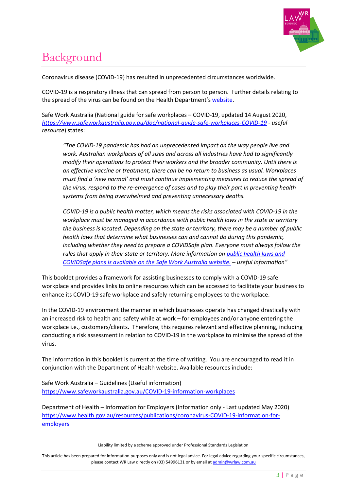

# <span id="page-2-0"></span>Background

Coronavirus disease (COVID-19) has resulted in unprecedented circumstances worldwide.

COVID-19 is a respiratory illness that can spread from person to person. Further details relating to the spread of the virus can be found on the Health Department's [website.](http://www.health.gov.au/)

Safe Work Australia (National guide for safe workplaces – COVID-19, updated 14 August 2020, *[https://www.safeworkaustralia.gov.au/doc/national-guide-safe-workplaces-COVID-19](https://www.safeworkaustralia.gov.au/doc/national-guide-safe-workplaces-covid-19) - useful resource*) states:

*"The COVID-19 pandemic has had an unprecedented impact on the way people live and work. Australian workplaces of all sizes and across all industries have had to significantly modify their operations to protect their workers and the broader community. Until there is an effective vaccine or treatment, there can be no return to business as usual. Workplaces must find a 'new normal' and must continue implementing measures to reduce the spread of the virus, respond to the re-emergence of cases and to play their part in preventing health systems from being overwhelmed and preventing unnecessary deaths.*

*COVID-19 is a public health matter, which means the risks associated with COVID-19 in the workplace must be managed in accordance with public health laws in the state or territory the business is located. Depending on the state or territory, there may be a number of public health laws that determine what businesses can and cannot do during this pandemic, including whether they need to prepare a COVIDSafe plan. Everyone must always follow the rules that apply in their state or territory. More information on [public health laws and](https://www.safeworkaustralia.gov.au/covid-19-information-workplaces/other-resources/covid-19-public-health-directions-and-covidsafe)  [COVIDSafe plans is available on the Safe Work Australia website.](https://www.safeworkaustralia.gov.au/covid-19-information-workplaces/other-resources/covid-19-public-health-directions-and-covidsafe) – useful information"*

This booklet provides a framework for assisting businesses to comply with a COVID-19 safe workplace and provides links to online resources which can be accessed to facilitate your business to enhance its COVID-19 safe workplace and safely returning employees to the workplace.

In the COVID-19 environment the manner in which businesses operate has changed drastically with an increased risk to health and safety while at work – for employees and/or anyone entering the workplace i.e., customers/clients. Therefore, this requires relevant and effective planning, including conducting a risk assessment in relation to COVID-19 in the workplace to minimise the spread of the virus.

The information in this booklet is current at the time of writing. You are encouraged to read it in conjunction with the Department of Health website. Available resources include:

Safe Work Australia – Guidelines (Useful information) [https://www.safeworkaustralia.gov.au/COVID-19-information-workplaces](https://www.safeworkaustralia.gov.au/covid-19-information-workplaces)

Department of Health – Information for Employers (Information only - Last updated May 2020) [https://www.health.gov.au/resources/publications/coronavirus-COVID-19-information-for](https://www.health.gov.au/resources/publications/coronavirus-covid-19-information-for-employers)[employers](https://www.health.gov.au/resources/publications/coronavirus-covid-19-information-for-employers)

Liability limited by a scheme approved under Professional Standards Legislation

This article has been prepared for information purposes only and is not legal advice. For legal advice regarding your specific circumstances, please contact WR Law directly on (03) 54996131 or by email at [admin@wrlaw.com.au](mailto:admin@wrlaw.com.au)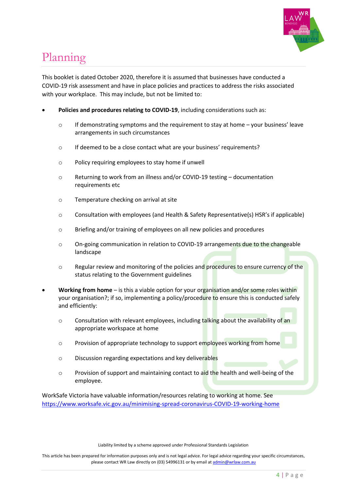

## <span id="page-3-0"></span>Planning

This booklet is dated October 2020, therefore it is assumed that businesses have conducted a COVID-19 risk assessment and have in place policies and practices to address the risks associated with your workplace. This may include, but not be limited to:

- **Policies and procedures relating to COVID-19**, including considerations such as:
	- $\circ$  If demonstrating symptoms and the requirement to stay at home your business' leave arrangements in such circumstances
	- o If deemed to be a close contact what are your business' requirements?
	- o Policy requiring employees to stay home if unwell
	- o Returning to work from an illness and/or COVID-19 testing documentation requirements etc
	- o Temperature checking on arrival at site
	- o Consultation with employees (and Health & Safety Representative(s) HSR's if applicable)
	- o Briefing and/or training of employees on all new policies and procedures
	- o On-going communication in relation to COVID-19 arrangements due to the changeable landscape
	- $\circ$  Regular review and monitoring of the policies and procedures to ensure currency of the status relating to the Government guidelines
- **Working from home** is this a viable option for your organisation and/or some roles within your organisation?; if so, implementing a policy/procedure to ensure this is conducted safely and efficiently:
	- $\circ$  Consultation with relevant employees, including talking about the availability of an appropriate workspace at home
	- o Provision of appropriate technology to support employees working from home
	- o Discussion regarding expectations and key deliverables
	- o Provision of support and maintaining contact to aid the health and well-being of the employee.

WorkSafe Victoria have valuable information/resources relating to working at home. See [https://www.worksafe.vic.gov.au/minimising-spread-coronavirus-COVID-19-working-home](https://www.worksafe.vic.gov.au/minimising-spread-coronavirus-covid-19-working-home)

Liability limited by a scheme approved under Professional Standards Legislation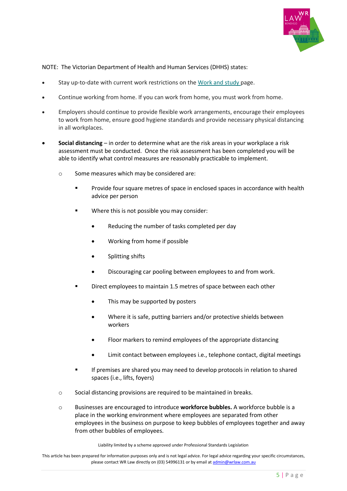

NOTE: The Victorian Department of Health and Human Services (DHHS) states:

- Stay up-to-date with current work restrictions on the [Work and study](https://www.dhhs.vic.gov.au/work-and-study-restrictions-covid-19) page.
- Continue working from home. If you can work from home, you must work from home.
- Employers should continue to provide flexible work arrangements, encourage their employees to work from home, ensure good hygiene standards and provide necessary physical distancing in all workplaces.
- **Social distancing** in order to determine what are the risk areas in your workplace a risk assessment must be conducted. Once the risk assessment has been completed you will be able to identify what control measures are reasonably practicable to implement.
	- o Some measures which may be considered are:
		- Provide four square metres of space in enclosed spaces in accordance with health advice per person
		- Where this is not possible you may consider:
			- Reducing the number of tasks completed per day
			- Working from home if possible
			- Splitting shifts
			- Discouraging car pooling between employees to and from work.
		- Direct employees to maintain 1.5 metres of space between each other
			- This may be supported by posters
			- Where it is safe, putting barriers and/or protective shields between workers
			- Floor markers to remind employees of the appropriate distancing
			- Limit contact between employees i.e., telephone contact, digital meetings
		- If premises are shared you may need to develop protocols in relation to shared spaces (i.e., lifts, foyers)
	- o Social distancing provisions are required to be maintained in breaks.
	- o Businesses are encouraged to introduce **workforce bubbles.** A workforce bubble is a place in the working environment where employees are separated from other employees in the business on purpose to keep bubbles of employees together and away from other bubbles of employees.

Liability limited by a scheme approved under Professional Standards Legislation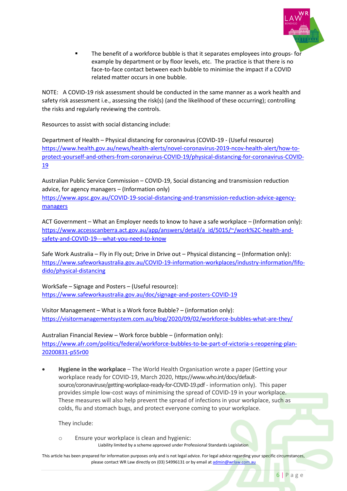

The benefit of a workforce bubble is that it separates employees into groups- for example by department or by floor levels, etc. The practice is that there is no face-to-face contact between each bubble to minimise the impact if a COVID related matter occurs in one bubble.

NOTE: A COVID-19 risk assessment should be conducted in the same manner as a work health and safety risk assessment i.e., assessing the risk(s) (and the likelihood of these occurring); controlling the risks and regularly reviewing the controls.

Resources to assist with social distancing include:

Department of Health – Physical distancing for coronavirus (COVID-19 - (Useful resource) [https://www.health.gov.au/news/health-alerts/novel-coronavirus-2019-ncov-health-alert/how-to](https://www.health.gov.au/news/health-alerts/novel-coronavirus-2019-ncov-health-alert/how-to-protect-yourself-and-others-from-coronavirus-covid-19/physical-distancing-for-coronavirus-covid-19)[protect-yourself-and-others-from-coronavirus-COVID-19/physical-distancing-for-coronavirus-COVID-](https://www.health.gov.au/news/health-alerts/novel-coronavirus-2019-ncov-health-alert/how-to-protect-yourself-and-others-from-coronavirus-covid-19/physical-distancing-for-coronavirus-covid-19)[19](https://www.health.gov.au/news/health-alerts/novel-coronavirus-2019-ncov-health-alert/how-to-protect-yourself-and-others-from-coronavirus-covid-19/physical-distancing-for-coronavirus-covid-19)

Australian Public Service Commission – COVID-19, Social distancing and transmission reduction advice, for agency managers – (Information only) [https://www.apsc.gov.au/COVID-19-social-distancing-and-transmission-reduction-advice-agency](https://www.apsc.gov.au/covid-19-social-distancing-and-transmission-reduction-advice-agency-managers)[managers](https://www.apsc.gov.au/covid-19-social-distancing-and-transmission-reduction-advice-agency-managers)

ACT Government – What an Employer needs to know to have a safe workplace – (Information only): [https://www.accesscanberra.act.gov.au/app/answers/detail/a\\_id/5015/~/work%2C-health-and](https://www.accesscanberra.act.gov.au/app/answers/detail/a_id/5015/~/work%2C-health-and-safety-and-covid-19---what-you-need-to-know)[safety-and-COVID-19---what-you-need-to-know](https://www.accesscanberra.act.gov.au/app/answers/detail/a_id/5015/~/work%2C-health-and-safety-and-covid-19---what-you-need-to-know)

Safe Work Australia – Fly in Fly out; Drive in Drive out – Physical distancing – (Information only): [https://www.safeworkaustralia.gov.au/COVID-19-information-workplaces/industry-information/fifo](https://www.safeworkaustralia.gov.au/covid-19-information-workplaces/industry-information/fifo-dido/physical-distancing)[dido/physical-distancing](https://www.safeworkaustralia.gov.au/covid-19-information-workplaces/industry-information/fifo-dido/physical-distancing)

WorkSafe – Signage and Posters – (Useful resource): [https://www.safeworkaustralia.gov.au/doc/signage-and-posters-COVID-19](https://www.safeworkaustralia.gov.au/doc/signage-and-posters-covid-19)

Visitor Management – What is a Work force Bubble? – (information only): <https://visitormanagementsystem.com.au/blog/2020/09/02/workforce-bubbles-what-are-they/>

Australian Financial Review – Work force bubble – (information only): [https://www.afr.com/politics/federal/workforce-bubbles-to-be-part-of-victoria-s-reopening-plan-](https://www.afr.com/politics/federal/workforce-bubbles-to-be-part-of-victoria-s-reopening-plan-20200831-p55r00)[20200831-p55r00](https://www.afr.com/politics/federal/workforce-bubbles-to-be-part-of-victoria-s-reopening-plan-20200831-p55r00)

• **Hygiene in the workplace** – The World Health Organisation wrote a paper (Getting your workplace ready for COVID-19, March 2020, https://www.who.int/docs/defaultsource/coronaviruse/getting-workplace-ready-for-COVID-19.pdf - information only). This paper provides simple low-cost ways of minimising the spread of COVID-19 in your workplace. These measures will also help prevent the spread of infections in your workplace, such as colds, flu and stomach bugs, and protect everyone coming to your workplace.

They include:

Liability limited by a scheme approved under Professional Standards Legislation o Ensure your workplace is clean and hygienic: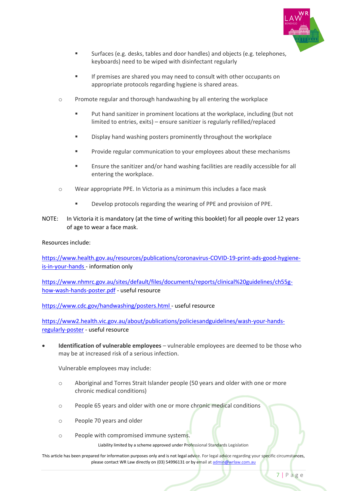

- Surfaces (e.g. desks, tables and door handles) and objects (e.g. telephones, keyboards) need to be wiped with disinfectant regularly
- If premises are shared you may need to consult with other occupants on appropriate protocols regarding hygiene is shared areas.
- o Promote regular and thorough handwashing by all entering the workplace
	- Put hand sanitizer in prominent locations at the workplace, including (but not limited to entries, exits) – ensure sanitizer is regularly refilled/replaced
	- Display hand washing posters prominently throughout the workplace
	- Provide regular communication to your employees about these mechanisms
	- Ensure the sanitizer and/or hand washing facilities are readily accessible for all entering the workplace.
- o Wear appropriate PPE. In Victoria as a minimum this includes a face mask
	- Develop protocols regarding the wearing of PPE and provision of PPE.
- NOTE: In Victoria it is mandatory (at the time of writing this booklet) for all people over 12 years of age to wear a face mask.

Resources include:

[https://www.health.gov.au/resources/publications/coronavirus-COVID-19-print-ads-good-hygiene](https://www.health.gov.au/resources/publications/coronavirus-covid-19-print-ads-good-hygiene-is-in-your-hands)[is-in-your-hands](https://www.health.gov.au/resources/publications/coronavirus-covid-19-print-ads-good-hygiene-is-in-your-hands) - information only

[https://www.nhmrc.gov.au/sites/default/files/documents/reports/clinical%20guidelines/ch55g](https://www.nhmrc.gov.au/sites/default/files/documents/reports/clinical%20guidelines/ch55g-how-wash-hands-poster.pdf)[how-wash-hands-poster.pdf](https://www.nhmrc.gov.au/sites/default/files/documents/reports/clinical%20guidelines/ch55g-how-wash-hands-poster.pdf) - useful resource

<https://www.cdc.gov/handwashing/posters.html> - useful resource

[https://www2.health.vic.gov.au/about/publications/policiesandguidelines/wash-your-hands](https://www2.health.vic.gov.au/about/publications/policiesandguidelines/wash-your-hands-regularly-poster)[regularly-poster](https://www2.health.vic.gov.au/about/publications/policiesandguidelines/wash-your-hands-regularly-poster) - useful resource

• **Identification of vulnerable employees** – vulnerable employees are deemed to be those who may be at increased risk of a serious infection.

Vulnerable employees may include:

- o Aboriginal and Torres Strait Islander people (50 years and older with one or more chronic medical conditions)
- o People 65 years and older with one or more chronic medical conditions
- o People 70 years and older
- o People with compromised immune systems.

Liability limited by a scheme approved under Professional Standards Legislation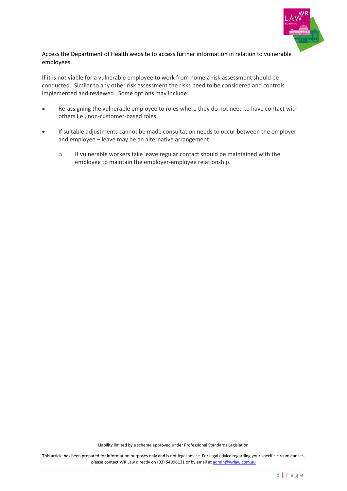

Access the Department of Health website to access further information in relation to vulnerable employees.

If it is not viable for a vulnerable employee to work from home a risk assessment should be conducted. Similar to any other risk assessment the risks need to be considered and controls implemented and reviewed. Some options may include:

- Re-assigning the vulnerable employee to roles where they do not need to have contact with others i.e., non-customer-based roles
- If suitable adjustments cannot be made consultation needs to occur between the employer and employee – leave may be an alternative arrangement
	- o If vulnerable workers take leave regular contact should be maintained with the employee to maintain the employer-employee relationship.

Liability limited by a scheme approved under Professional Standards Legislation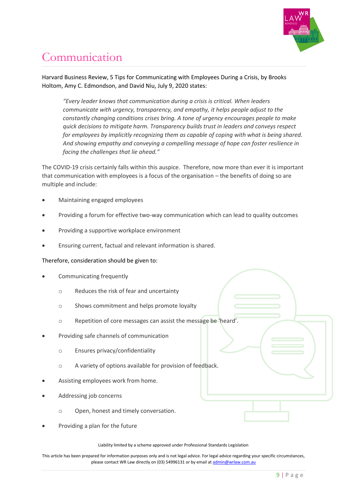

### <span id="page-8-0"></span>Communication

Harvard Business Review, 5 Tips for Communicating with Employees During a Crisis, by Brooks Holtom, Amy C. Edmondson, and David Niu, July 9, 2020 states:

*"Every leader knows that communication during a crisis is critical. When leaders communicate with [urgency, transparency, and empathy,](https://hbr.org/2020/04/what-good-leadership-looks-like-during-this-pandemic) it helps people adjust to the constantly changing conditions crises bring. A tone of urgency encourages people to make quick decisions to mitigate harm. Transparency builds trust in leaders and conveys respect for employees by implicitly recognizing them as capable of coping with what is being shared. And showing empathy and conveying a compelling message of hope can foster resilience in facing the challenges that lie ahead."*

The COVID-19 crisis certainly falls within this auspice. Therefore, now more than ever it is important that communication with employees is a focus of the organisation – the benefits of doing so are multiple and include:

- Maintaining engaged employees
- Providing a forum for effective two-way communication which can lead to quality outcomes
- Providing a supportive workplace environment
- Ensuring current, factual and relevant information is shared.

Therefore, consideration should be given to:

- Communicating frequently
	- o Reduces the risk of fear and uncertainty
	- o Shows commitment and helps promote loyalty
	- o Repetition of core messages can assist the message be 'heard'.
- Providing safe channels of communication
	- o Ensures privacy/confidentiality
	- o A variety of options available for provision of feedback.
- Assisting employees work from home.
- Addressing job concerns
	- o Open, honest and timely conversation.
- Providing a plan for the future

#### Liability limited by a scheme approved under Professional Standards Legislation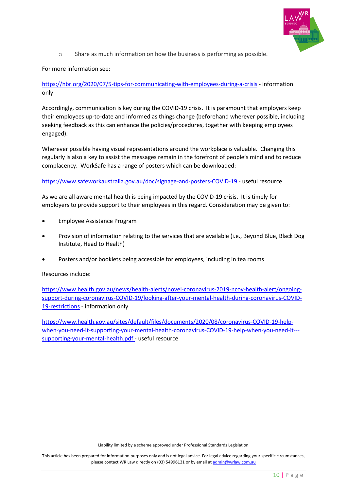

o Share as much information on how the business is performing as possible.

#### For more information see:

#### <https://hbr.org/2020/07/5-tips-for-communicating-with-employees-during-a-crisis> - information only

Accordingly, communication is key during the COVID-19 crisis. It is paramount that employers keep their employees up-to-date and informed as things change (beforehand wherever possible, including seeking feedback as this can enhance the policies/procedures, together with keeping employees engaged).

Wherever possible having visual representations around the workplace is valuable. Changing this regularly is also a key to assist the messages remain in the forefront of people's mind and to reduce complacency. WorkSafe has a range of posters which can be downloaded:

#### [https://www.safeworkaustralia.gov.au/doc/signage-and-posters-COVID-19](https://www.safeworkaustralia.gov.au/doc/signage-and-posters-covid-19) - useful resource

As we are all aware mental health is being impacted by the COVID-19 crisis. It is timely for employers to provide support to their employees in this regard. Consideration may be given to:

- Employee Assistance Program
- Provision of information relating to the services that are available (i.e., Beyond Blue, Black Dog Institute, Head to Health)
- Posters and/or booklets being accessible for employees, including in tea rooms

#### Resources include:

[https://www.health.gov.au/news/health-alerts/novel-coronavirus-2019-ncov-health-alert/ongoing](https://www.health.gov.au/news/health-alerts/novel-coronavirus-2019-ncov-health-alert/ongoing-support-during-coronavirus-covid-19/looking-after-your-mental-health-during-coronavirus-covid-19-restrictions)[support-during-coronavirus-COVID-19/looking-after-your-mental-health-during-coronavirus-COVID-](https://www.health.gov.au/news/health-alerts/novel-coronavirus-2019-ncov-health-alert/ongoing-support-during-coronavirus-covid-19/looking-after-your-mental-health-during-coronavirus-covid-19-restrictions)[19-restrictions](https://www.health.gov.au/news/health-alerts/novel-coronavirus-2019-ncov-health-alert/ongoing-support-during-coronavirus-covid-19/looking-after-your-mental-health-during-coronavirus-covid-19-restrictions) - information only

[https://www.health.gov.au/sites/default/files/documents/2020/08/coronavirus-COVID-19-help](https://www.health.gov.au/sites/default/files/documents/2020/08/coronavirus-covid-19-help-when-you-need-it-supporting-your-mental-health-coronavirus-covid-19-help-when-you-need-it---supporting-your-mental-health.pdf)[when-you-need-it-supporting-your-mental-health-coronavirus-COVID-19-help-when-you-need-it--](https://www.health.gov.au/sites/default/files/documents/2020/08/coronavirus-covid-19-help-when-you-need-it-supporting-your-mental-health-coronavirus-covid-19-help-when-you-need-it---supporting-your-mental-health.pdf) [supporting-your-mental-health.pdf](https://www.health.gov.au/sites/default/files/documents/2020/08/coronavirus-covid-19-help-when-you-need-it-supporting-your-mental-health-coronavirus-covid-19-help-when-you-need-it---supporting-your-mental-health.pdf) - useful resource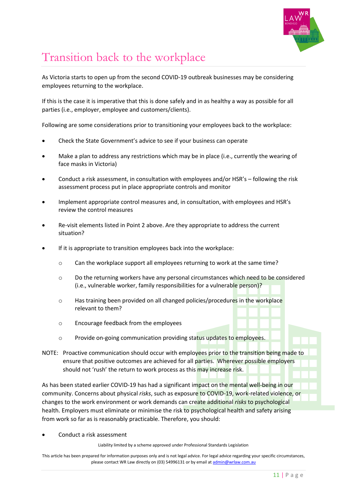

# <span id="page-10-0"></span>Transition back to the workplace

As Victoria starts to open up from the second COVID-19 outbreak businesses may be considering employees returning to the workplace.

If this is the case it is imperative that this is done safely and in as healthy a way as possible for all parties (i.e., employer, employee and customers/clients).

Following are some considerations prior to transitioning your employees back to the workplace:

- Check the State Government's advice to see if your business can operate
- Make a plan to address any restrictions which may be in place (i.e., currently the wearing of face masks in Victoria)
- Conduct a risk assessment, in consultation with employees and/or HSR's following the risk assessment process put in place appropriate controls and monitor
- Implement appropriate control measures and, in consultation, with employees and HSR's review the control measures
- Re-visit elements listed in Point 2 above. Are they appropriate to address the current situation?
- If it is appropriate to transition employees back into the workplace:
	- o Can the workplace support all employees returning to work at the same time?
	- $\circ$  Do the returning workers have any personal circumstances which need to be considered (i.e., vulnerable worker, family responsibilities for a vulnerable person)?
	- o Has training been provided on all changed policies/procedures in the workplace relevant to them?
	- o Encourage feedback from the employees
	- o Provide on-going communication providing status updates to employees.
- NOTE: Proactive communication should occur with employees prior to the transition being made to ensure that positive outcomes are achieved for all parties. Wherever possible employers should not 'rush' the return to work process as this may increase risk.

As has been stated earlier COVID-19 has had a significant impact on the mental well-being in our community. Concerns about physical *[risks](https://www.safeworkaustralia.gov.au/glossary#risks)*, such as exposure to COVID-19, work-related violence, or changes to the work environment or work demands can create additional *[risks](https://www.safeworkaustralia.gov.au/glossary#risks)* to psychological health. Employers must eliminate or minimise the risk to psychological health and safety arising from work so far as is reasonably practicable. Therefore, you should:

Conduct a risk assessment

Liability limited by a scheme approved under Professional Standards Legislation

This article has been prepared for information purposes only and is not legal advice. For legal advice regarding your specific circumstances, please contact WR Law directly on (03) 54996131 or by email at [admin@wrlaw.com.au](mailto:admin@wrlaw.com.au)